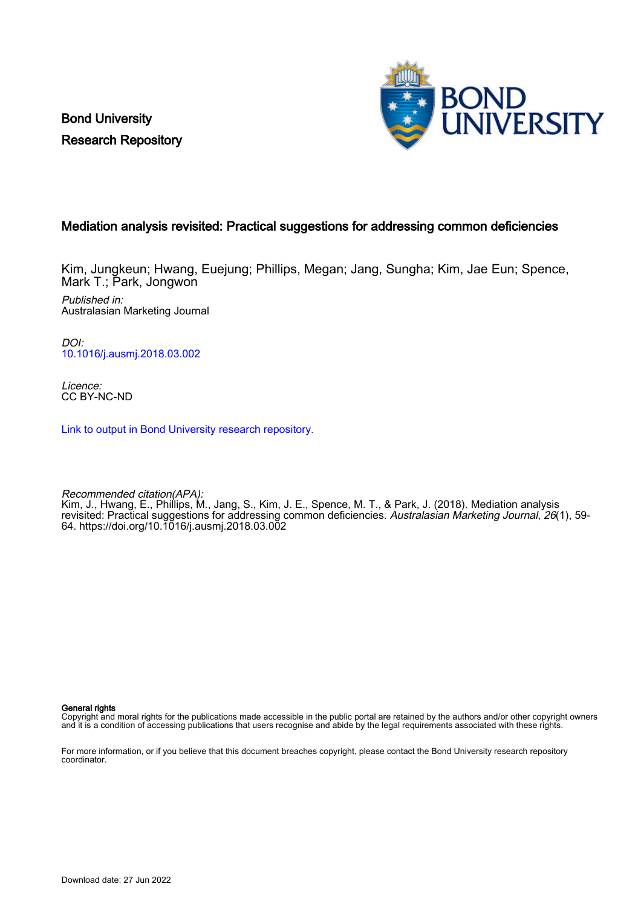Bond University Research Repository



## Mediation analysis revisited: Practical suggestions for addressing common deficiencies

Kim, Jungkeun; Hwang, Euejung; Phillips, Megan; Jang, Sungha; Kim, Jae Eun; Spence, Mark T.; Park, Jongwon

Published in: Australasian Marketing Journal

DOI: [10.1016/j.ausmj.2018.03.002](https://doi.org/10.1016/j.ausmj.2018.03.002)

Licence: CC BY-NC-ND

[Link to output in Bond University research repository.](https://research.bond.edu.au/en/publications/b6ed86c9-daaf-4d28-b107-5a57ff41276f)

Recommended citation(APA): Kim, J., Hwang, E., Phillips, M., Jang, S., Kim, J. E., Spence, M. T., & Park, J. (2018). Mediation analysis revisited: Practical suggestions for addressing common deficiencies. *Australasian Marketing Journal, 26*(1), 59-64. <https://doi.org/10.1016/j.ausmj.2018.03.002>

General rights

Copyright and moral rights for the publications made accessible in the public portal are retained by the authors and/or other copyright owners and it is a condition of accessing publications that users recognise and abide by the legal requirements associated with these rights.

For more information, or if you believe that this document breaches copyright, please contact the Bond University research repository coordinator.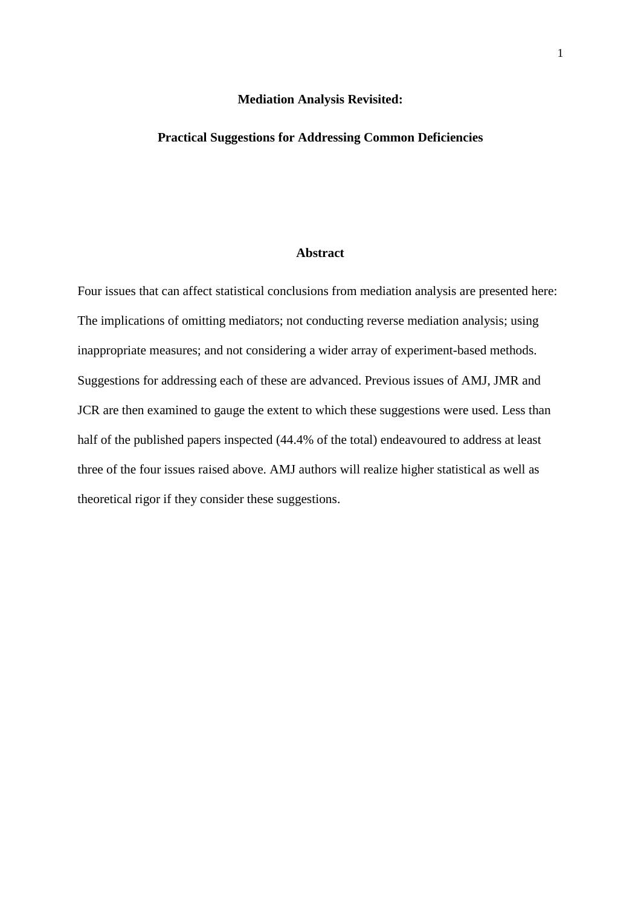#### **Mediation Analysis Revisited:**

## **Practical Suggestions for Addressing Common Deficiencies**

## **Abstract**

Four issues that can affect statistical conclusions from mediation analysis are presented here: The implications of omitting mediators; not conducting reverse mediation analysis; using inappropriate measures; and not considering a wider array of experiment-based methods. Suggestions for addressing each of these are advanced. Previous issues of AMJ, JMR and JCR are then examined to gauge the extent to which these suggestions were used. Less than half of the published papers inspected (44.4% of the total) endeavoured to address at least three of the four issues raised above. AMJ authors will realize higher statistical as well as theoretical rigor if they consider these suggestions.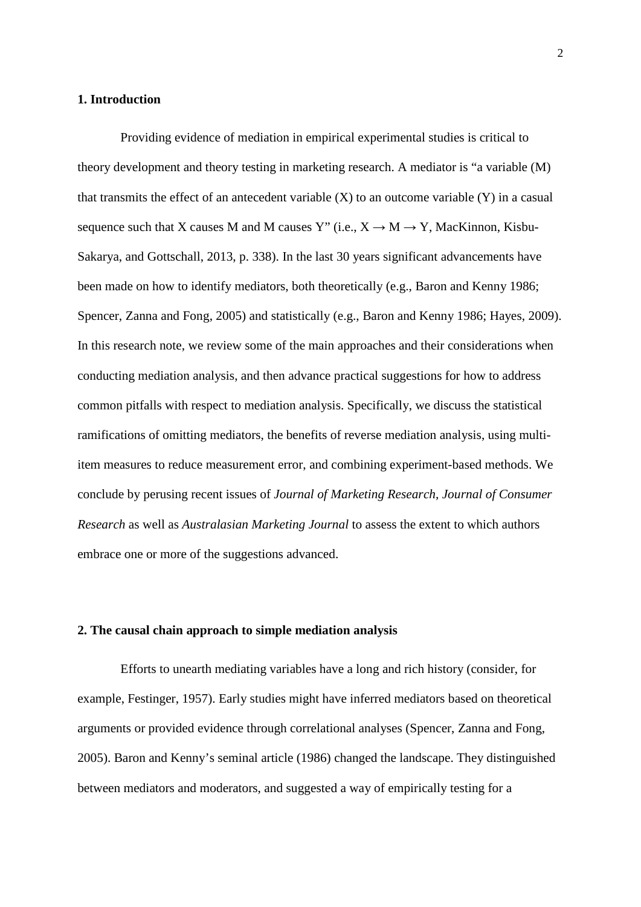## **1. Introduction**

Providing evidence of mediation in empirical experimental studies is critical to theory development and theory testing in marketing research. A mediator is "a variable (M) that transmits the effect of an antecedent variable  $(X)$  to an outcome variable  $(Y)$  in a casual sequence such that X causes M and M causes Y" (i.e.,  $X \rightarrow M \rightarrow Y$ , MacKinnon, Kisbu-Sakarya, and Gottschall, 2013, p. 338). In the last 30 years significant advancements have been made on how to identify mediators, both theoretically (e.g., Baron and Kenny 1986; Spencer, Zanna and Fong, 2005) and statistically (e.g., Baron and Kenny 1986; Hayes, 2009). In this research note, we review some of the main approaches and their considerations when conducting mediation analysis, and then advance practical suggestions for how to address common pitfalls with respect to mediation analysis. Specifically, we discuss the statistical ramifications of omitting mediators, the benefits of reverse mediation analysis, using multiitem measures to reduce measurement error, and combining experiment-based methods. We conclude by perusing recent issues of *Journal of Marketing Research*, *Journal of Consumer Research* as well as *Australasian Marketing Journal* to assess the extent to which authors embrace one or more of the suggestions advanced.

## **2. The causal chain approach to simple mediation analysis**

Efforts to unearth mediating variables have a long and rich history (consider, for example, Festinger, 1957). Early studies might have inferred mediators based on theoretical arguments or provided evidence through correlational analyses (Spencer, Zanna and Fong, 2005). Baron and Kenny's seminal article (1986) changed the landscape. They distinguished between mediators and moderators, and suggested a way of empirically testing for a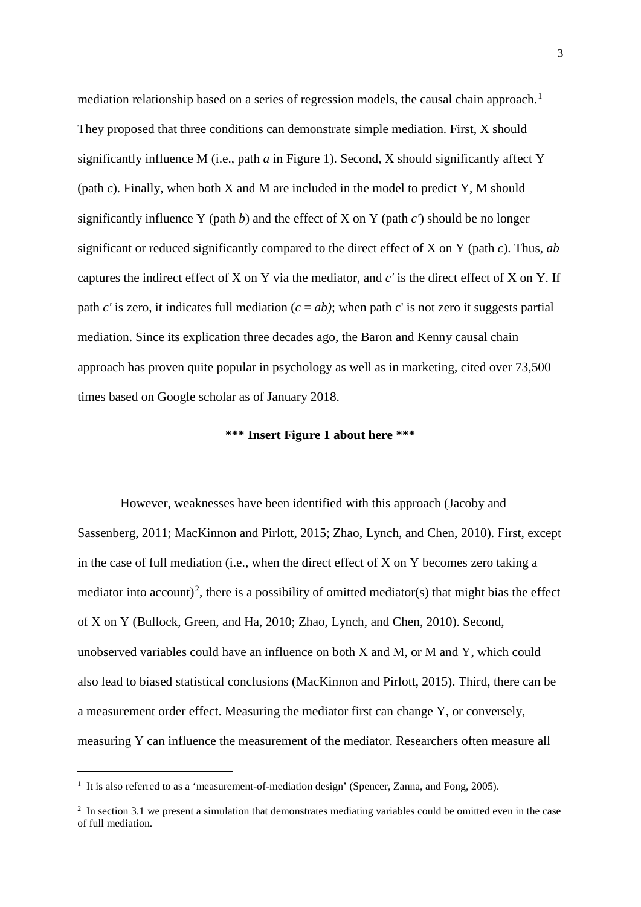mediation relationship based on a series of regression models, the causal chain approach.<sup>[1](#page-3-0)</sup> They proposed that three conditions can demonstrate simple mediation. First, X should significantly influence M (i.e., path *a* in Figure 1). Second, X should significantly affect Y (path *c*). Finally, when both X and M are included in the model to predict Y, M should significantly influence Y (path *b*) and the effect of X on Y (path *c'*) should be no longer significant or reduced significantly compared to the direct effect of X on Y (path *c*). Thus, *ab* captures the indirect effect of X on Y via the mediator, and *c'* is the direct effect of X on Y. If path  $c'$  is zero, it indicates full mediation  $(c = ab)$ ; when path c' is not zero it suggests partial mediation. Since its explication three decades ago, the Baron and Kenny causal chain approach has proven quite popular in psychology as well as in marketing, cited over 73,500 times based on Google scholar as of January 2018.

## **\*\*\* Insert Figure 1 about here \*\*\***

However, weaknesses have been identified with this approach (Jacoby and Sassenberg, 2011; MacKinnon and Pirlott, 2015; Zhao, Lynch, and Chen, 2010). First, except in the case of full mediation (i.e., when the direct effect of X on Y becomes zero taking a mediator into account)<sup>[2](#page-3-1)</sup>, there is a possibility of omitted mediator(s) that might bias the effect of X on Y (Bullock, Green, and Ha, 2010; Zhao, Lynch, and Chen, 2010). Second, unobserved variables could have an influence on both X and M, or M and Y, which could also lead to biased statistical conclusions (MacKinnon and Pirlott, 2015). Third, there can be a measurement order effect. Measuring the mediator first can change Y, or conversely, measuring Y can influence the measurement of the mediator. Researchers often measure all

-

<span id="page-3-0"></span><sup>&</sup>lt;sup>1</sup> It is also referred to as a 'measurement-of-mediation design' (Spencer, Zanna, and Fong, 2005).

<span id="page-3-1"></span><sup>&</sup>lt;sup>2</sup> In section 3.1 we present a simulation that demonstrates mediating variables could be omitted even in the case of full mediation.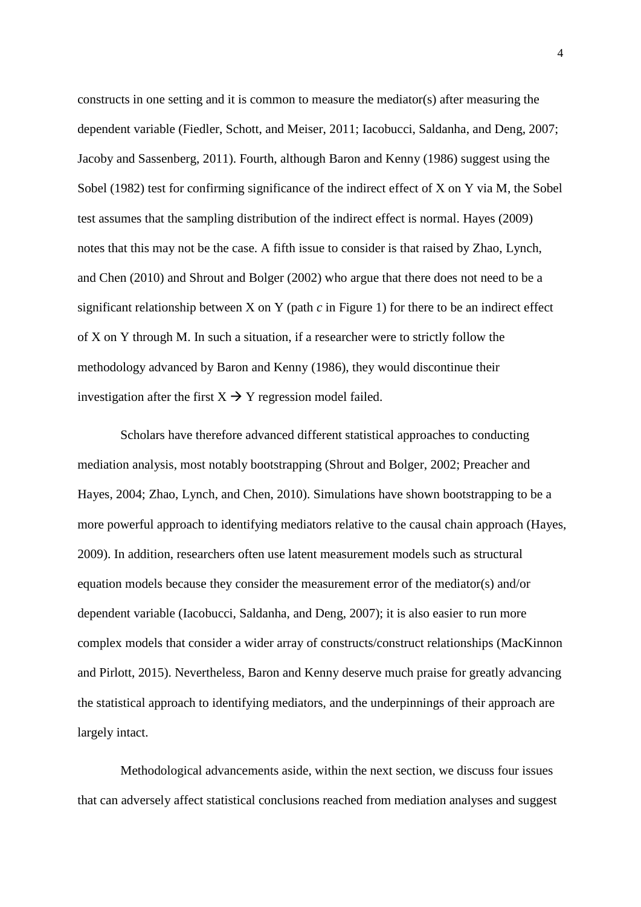constructs in one setting and it is common to measure the mediator(s) after measuring the dependent variable (Fiedler, Schott, and Meiser, 2011; Iacobucci, Saldanha, and Deng, 2007; Jacoby and Sassenberg, 2011). Fourth, although Baron and Kenny (1986) suggest using the Sobel (1982) test for confirming significance of the indirect effect of X on Y via M, the Sobel test assumes that the sampling distribution of the indirect effect is normal. Hayes (2009) notes that this may not be the case. A fifth issue to consider is that raised by Zhao, Lynch, and Chen (2010) and Shrout and Bolger (2002) who argue that there does not need to be a significant relationship between X on Y (path *c* in Figure 1) for there to be an indirect effect of X on Y through M. In such a situation, if a researcher were to strictly follow the methodology advanced by Baron and Kenny (1986), they would discontinue their investigation after the first  $X \rightarrow Y$  regression model failed.

Scholars have therefore advanced different statistical approaches to conducting mediation analysis, most notably bootstrapping (Shrout and Bolger, 2002; Preacher and Hayes, 2004; Zhao, Lynch, and Chen, 2010). Simulations have shown bootstrapping to be a more powerful approach to identifying mediators relative to the causal chain approach (Hayes, 2009). In addition, researchers often use latent measurement models such as structural equation models because they consider the measurement error of the mediator(s) and/or dependent variable (Iacobucci, Saldanha, and Deng, 2007); it is also easier to run more complex models that consider a wider array of constructs/construct relationships (MacKinnon and Pirlott, 2015). Nevertheless, Baron and Kenny deserve much praise for greatly advancing the statistical approach to identifying mediators, and the underpinnings of their approach are largely intact.

Methodological advancements aside, within the next section, we discuss four issues that can adversely affect statistical conclusions reached from mediation analyses and suggest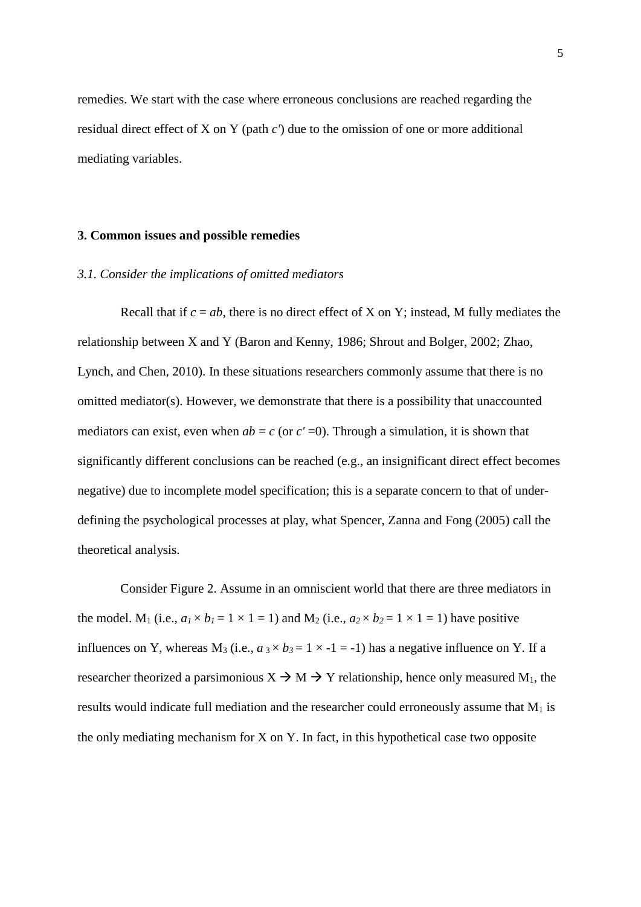remedies. We start with the case where erroneous conclusions are reached regarding the residual direct effect of X on Y (path *c'*) due to the omission of one or more additional mediating variables.

#### **3. Common issues and possible remedies**

#### *3.1. Consider the implications of omitted mediators*

Recall that if  $c = ab$ , there is no direct effect of X on Y; instead, M fully mediates the relationship between X and Y (Baron and Kenny, 1986; Shrout and Bolger, 2002; Zhao, Lynch, and Chen, 2010). In these situations researchers commonly assume that there is no omitted mediator(s). However, we demonstrate that there is a possibility that unaccounted mediators can exist, even when  $ab = c$  (or  $c' = 0$ ). Through a simulation, it is shown that significantly different conclusions can be reached (e.g., an insignificant direct effect becomes negative) due to incomplete model specification; this is a separate concern to that of underdefining the psychological processes at play, what Spencer, Zanna and Fong (2005) call the theoretical analysis.

Consider Figure 2. Assume in an omniscient world that there are three mediators in the model. M<sub>1</sub> (i.e.,  $a_1 \times b_1 = 1 \times 1 = 1$ ) and M<sub>2</sub> (i.e.,  $a_2 \times b_2 = 1 \times 1 = 1$ ) have positive influences on Y, whereas M<sub>3</sub> (i.e.,  $a_3 \times b_3 = 1 \times -1 = -1$ ) has a negative influence on Y. If a researcher theorized a parsimonious  $X \to M \to Y$  relationship, hence only measured M<sub>1</sub>, the results would indicate full mediation and the researcher could erroneously assume that  $M_1$  is the only mediating mechanism for X on Y. In fact, in this hypothetical case two opposite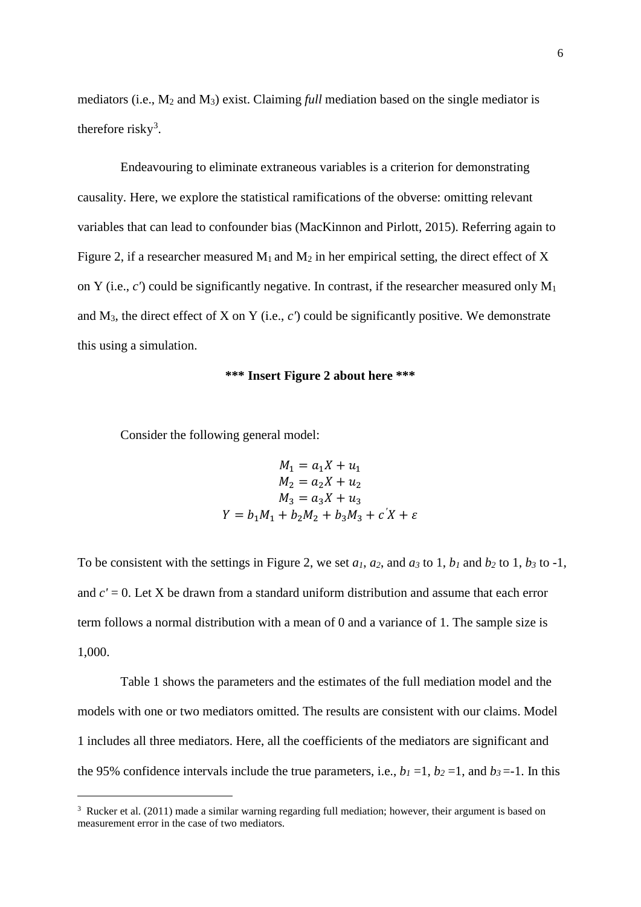mediators (i.e., M2 and M3) exist. Claiming *full* mediation based on the single mediator is therefore risky<sup>[3](#page-6-0)</sup>.

Endeavouring to eliminate extraneous variables is a criterion for demonstrating causality. Here, we explore the statistical ramifications of the obverse: omitting relevant variables that can lead to confounder bias (MacKinnon and Pirlott, 2015). Referring again to Figure 2, if a researcher measured  $M_1$  and  $M_2$  in her empirical setting, the direct effect of X on Y (i.e., *c'*) could be significantly negative. In contrast, if the researcher measured only M1 and M3, the direct effect of X on Y (i.e., *c'*) could be significantly positive. We demonstrate this using a simulation.

#### **\*\*\* Insert Figure 2 about here \*\*\***

Consider the following general model:

-

$$
M_1 = a_1X + u_1
$$
  
\n
$$
M_2 = a_2X + u_2
$$
  
\n
$$
M_3 = a_3X + u_3
$$
  
\n
$$
Y = b_1M_1 + b_2M_2 + b_3M_3 + c'X + \varepsilon
$$

To be consistent with the settings in Figure 2, we set  $a_1$ ,  $a_2$ , and  $a_3$  to 1,  $b_1$  and  $b_2$  to 1,  $b_3$  to -1, and *c'* = 0. Let X be drawn from a standard uniform distribution and assume that each error term follows a normal distribution with a mean of 0 and a variance of 1. The sample size is 1,000.

Table 1 shows the parameters and the estimates of the full mediation model and the models with one or two mediators omitted. The results are consistent with our claims. Model 1 includes all three mediators. Here, all the coefficients of the mediators are significant and the 95% confidence intervals include the true parameters, i.e.,  $b_1 = 1$ ,  $b_2 = 1$ , and  $b_3 = -1$ . In this

<span id="page-6-0"></span><sup>&</sup>lt;sup>3</sup> Rucker et al. (2011) made a similar warning regarding full mediation; however, their argument is based on measurement error in the case of two mediators.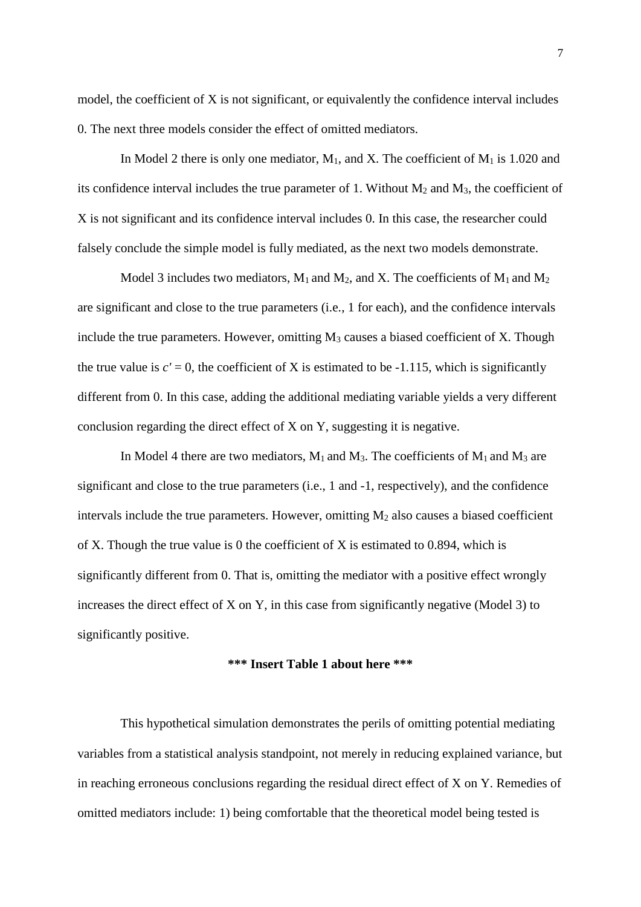model, the coefficient of X is not significant, or equivalently the confidence interval includes 0. The next three models consider the effect of omitted mediators.

In Model 2 there is only one mediator,  $M_1$ , and X. The coefficient of  $M_1$  is 1.020 and its confidence interval includes the true parameter of 1. Without  $M_2$  and  $M_3$ , the coefficient of X is not significant and its confidence interval includes 0. In this case, the researcher could falsely conclude the simple model is fully mediated, as the next two models demonstrate.

Model 3 includes two mediators,  $M_1$  and  $M_2$ , and X. The coefficients of  $M_1$  and  $M_2$ are significant and close to the true parameters (i.e., 1 for each), and the confidence intervals include the true parameters. However, omitting  $M_3$  causes a biased coefficient of X. Though the true value is  $c' = 0$ , the coefficient of X is estimated to be -1.115, which is significantly different from 0. In this case, adding the additional mediating variable yields a very different conclusion regarding the direct effect of X on Y, suggesting it is negative.

In Model 4 there are two mediators,  $M_1$  and  $M_3$ . The coefficients of  $M_1$  and  $M_3$  are significant and close to the true parameters (i.e., 1 and -1, respectively), and the confidence intervals include the true parameters. However, omitting  $M_2$  also causes a biased coefficient of X. Though the true value is 0 the coefficient of X is estimated to 0.894, which is significantly different from 0. That is, omitting the mediator with a positive effect wrongly increases the direct effect of X on Y, in this case from significantly negative (Model 3) to significantly positive.

#### **\*\*\* Insert Table 1 about here \*\*\***

This hypothetical simulation demonstrates the perils of omitting potential mediating variables from a statistical analysis standpoint, not merely in reducing explained variance, but in reaching erroneous conclusions regarding the residual direct effect of X on Y. Remedies of omitted mediators include: 1) being comfortable that the theoretical model being tested is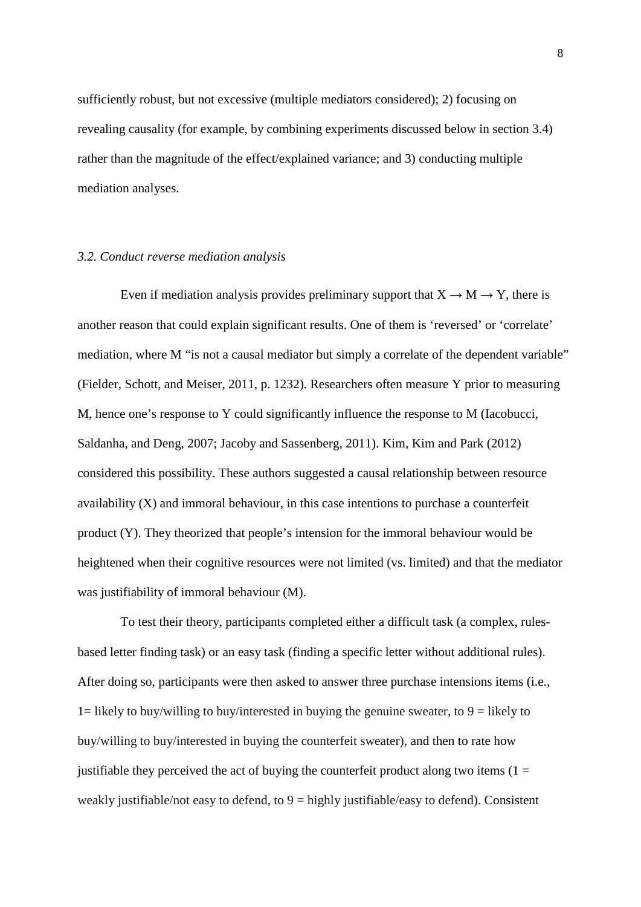sufficiently robust, but not excessive (multiple mediators considered); 2) focusing on revealing causality (for example, by combining experiments discussed below in section 3.4) rather than the magnitude of the effect/explained variance; and 3) conducting multiple mediation analyses.

## *3.2. Conduct reverse mediation analysis*

Even if mediation analysis provides preliminary support that  $X \to M \to Y$ , there is another reason that could explain significant results. One of them is 'reversed' or 'correlate' mediation, where M "is not a causal mediator but simply a correlate of the dependent variable" (Fielder, Schott, and Meiser, 2011, p. 1232). Researchers often measure Y prior to measuring M, hence one's response to Y could significantly influence the response to M (Iacobucci, Saldanha, and Deng, 2007; Jacoby and Sassenberg, 2011). Kim, Kim and Park (2012) considered this possibility. These authors suggested a causal relationship between resource availability (X) and immoral behaviour, in this case intentions to purchase a counterfeit product (Y). They theorized that people's intension for the immoral behaviour would be heightened when their cognitive resources were not limited (vs. limited) and that the mediator was justifiability of immoral behaviour (M).

To test their theory, participants completed either a difficult task (a complex, rulesbased letter finding task) or an easy task (finding a specific letter without additional rules). After doing so, participants were then asked to answer three purchase intensions items (i.e., 1= likely to buy/willing to buy/interested in buying the genuine sweater, to  $9 =$  likely to buy/willing to buy/interested in buying the counterfeit sweater), and then to rate how justifiable they perceived the act of buying the counterfeit product along two items  $(1 =$ weakly justifiable/not easy to defend, to  $9 =$  highly justifiable/easy to defend). Consistent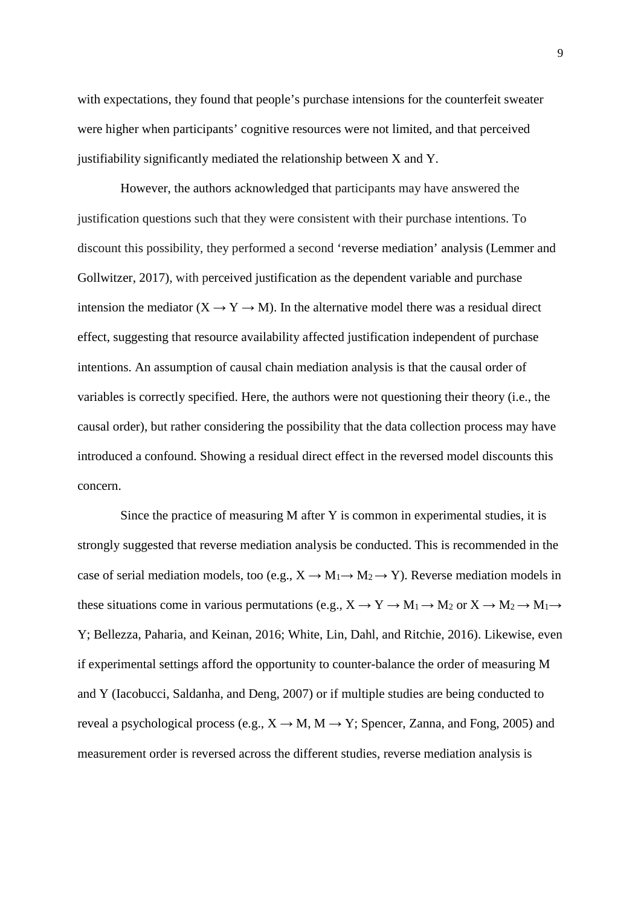with expectations, they found that people's purchase intensions for the counterfeit sweater were higher when participants' cognitive resources were not limited, and that perceived justifiability significantly mediated the relationship between X and Y.

However, the authors acknowledged that participants may have answered the justification questions such that they were consistent with their purchase intentions. To discount this possibility, they performed a second 'reverse mediation' analysis (Lemmer and Gollwitzer, 2017), with perceived justification as the dependent variable and purchase intension the mediator ( $X \rightarrow Y \rightarrow M$ ). In the alternative model there was a residual direct effect, suggesting that resource availability affected justification independent of purchase intentions. An assumption of causal chain mediation analysis is that the causal order of variables is correctly specified. Here, the authors were not questioning their theory (i.e., the causal order), but rather considering the possibility that the data collection process may have introduced a confound. Showing a residual direct effect in the reversed model discounts this concern.

Since the practice of measuring M after Y is common in experimental studies, it is strongly suggested that reverse mediation analysis be conducted. This is recommended in the case of serial mediation models, too (e.g.,  $X \to M_1 \to M_2 \to Y$ ). Reverse mediation models in these situations come in various permutations (e.g.,  $X \to Y \to M_1 \to M_2$  or  $X \to M_2 \to M_1 \to$ Y; Bellezza, Paharia, and Keinan, 2016; White, Lin, Dahl, and Ritchie, 2016). Likewise, even if experimental settings afford the opportunity to counter-balance the order of measuring M and Y (Iacobucci, Saldanha, and Deng, 2007) or if multiple studies are being conducted to reveal a psychological process (e.g.,  $X \rightarrow M$ ,  $M \rightarrow Y$ ; Spencer, Zanna, and Fong, 2005) and measurement order is reversed across the different studies, reverse mediation analysis is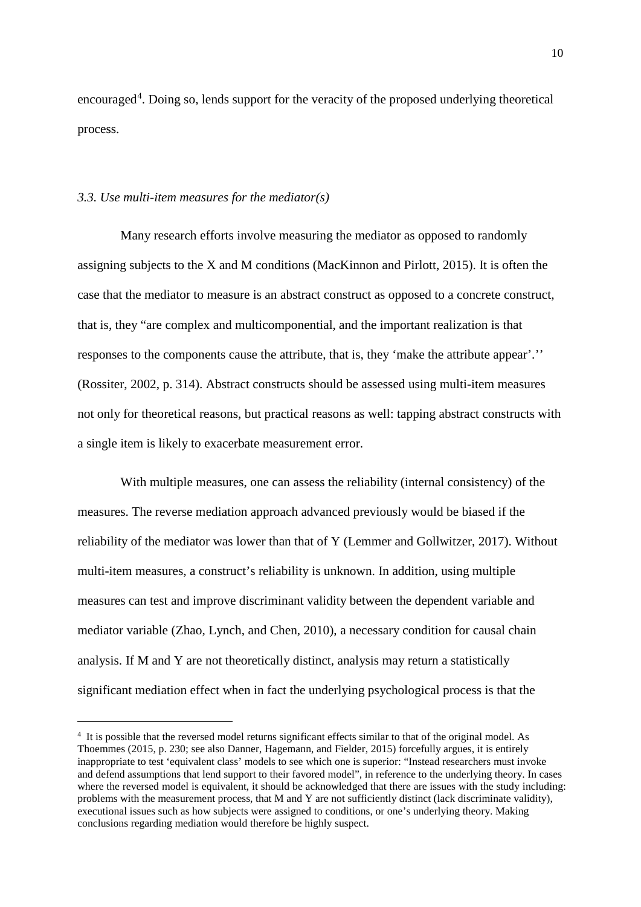encouraged<sup>[4](#page-10-0)</sup>. Doing so, lends support for the veracity of the proposed underlying theoretical process.

#### *3.3. Use multi-item measures for the mediator(s)*

-

Many research efforts involve measuring the mediator as opposed to randomly assigning subjects to the X and M conditions (MacKinnon and Pirlott, 2015). It is often the case that the mediator to measure is an abstract construct as opposed to a concrete construct, that is, they "are complex and multicomponential, and the important realization is that responses to the components cause the attribute, that is, they 'make the attribute appear'.'' (Rossiter, 2002, p. 314). Abstract constructs should be assessed using multi-item measures not only for theoretical reasons, but practical reasons as well: tapping abstract constructs with a single item is likely to exacerbate measurement error.

With multiple measures, one can assess the reliability (internal consistency) of the measures. The reverse mediation approach advanced previously would be biased if the reliability of the mediator was lower than that of Y (Lemmer and Gollwitzer, 2017). Without multi-item measures, a construct's reliability is unknown. In addition, using multiple measures can test and improve discriminant validity between the dependent variable and mediator variable (Zhao, Lynch, and Chen, 2010), a necessary condition for causal chain analysis. If M and Y are not theoretically distinct, analysis may return a statistically significant mediation effect when in fact the underlying psychological process is that the

<span id="page-10-0"></span><sup>4</sup> It is possible that the reversed model returns significant effects similar to that of the original model. As Thoemmes (2015, p. 230; see also Danner, Hagemann, and Fielder, 2015) forcefully argues, it is entirely inappropriate to test 'equivalent class' models to see which one is superior: "Instead researchers must invoke and defend assumptions that lend support to their favored model", in reference to the underlying theory. In cases where the reversed model is equivalent, it should be acknowledged that there are issues with the study including: problems with the measurement process, that M and Y are not sufficiently distinct (lack discriminate validity), executional issues such as how subjects were assigned to conditions, or one's underlying theory. Making conclusions regarding mediation would therefore be highly suspect.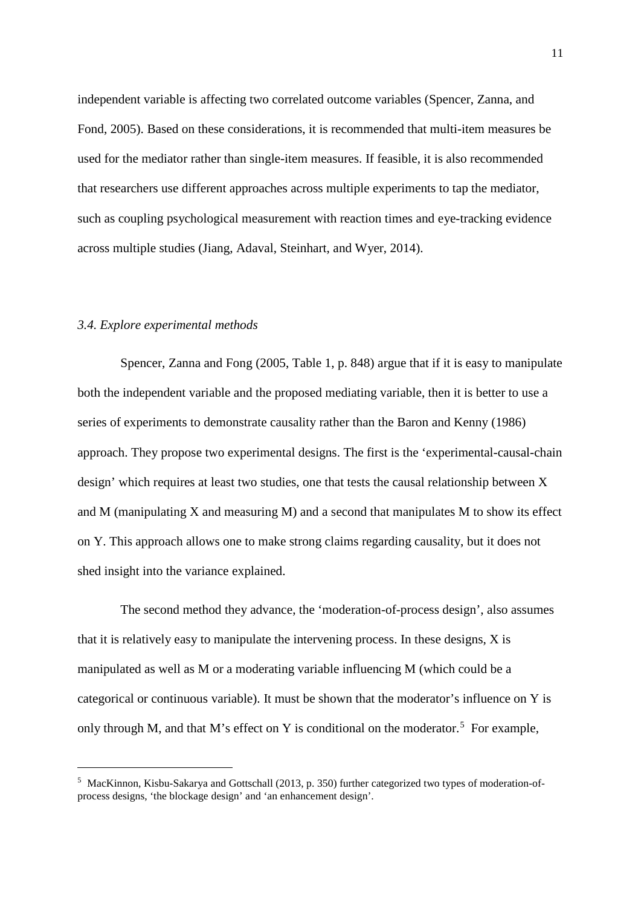independent variable is affecting two correlated outcome variables (Spencer, Zanna, and Fond, 2005). Based on these considerations, it is recommended that multi-item measures be used for the mediator rather than single-item measures. If feasible, it is also recommended that researchers use different approaches across multiple experiments to tap the mediator, such as coupling psychological measurement with reaction times and eye-tracking evidence across multiple studies (Jiang, Adaval, Steinhart, and Wyer, 2014).

## *3.4. Explore experimental methods*

-

Spencer, Zanna and Fong (2005, Table 1, p. 848) argue that if it is easy to manipulate both the independent variable and the proposed mediating variable, then it is better to use a series of experiments to demonstrate causality rather than the Baron and Kenny (1986) approach. They propose two experimental designs. The first is the 'experimental-causal-chain design' which requires at least two studies, one that tests the causal relationship between X and M (manipulating X and measuring M) and a second that manipulates M to show its effect on Y. This approach allows one to make strong claims regarding causality, but it does not shed insight into the variance explained.

The second method they advance, the 'moderation-of-process design', also assumes that it is relatively easy to manipulate the intervening process. In these designs, X is manipulated as well as M or a moderating variable influencing M (which could be a categorical or continuous variable). It must be shown that the moderator's influence on Y is only through M, and that M's effect on Y is conditional on the moderator.<sup>[5](#page-11-0)</sup> For example,

<span id="page-11-0"></span><sup>5</sup> MacKinnon, Kisbu-Sakarya and Gottschall (2013, p. 350) further categorized two types of moderation-ofprocess designs, 'the blockage design' and 'an enhancement design'.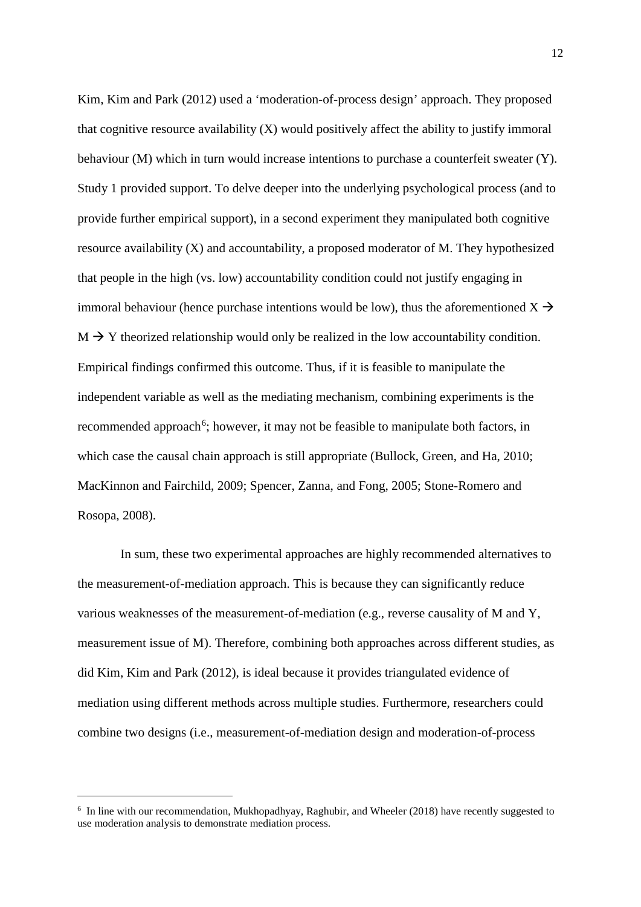Kim, Kim and Park (2012) used a 'moderation-of-process design' approach. They proposed that cognitive resource availability (X) would positively affect the ability to justify immoral behaviour (M) which in turn would increase intentions to purchase a counterfeit sweater (Y). Study 1 provided support. To delve deeper into the underlying psychological process (and to provide further empirical support), in a second experiment they manipulated both cognitive resource availability (X) and accountability, a proposed moderator of M. They hypothesized that people in the high (vs. low) accountability condition could not justify engaging in immoral behaviour (hence purchase intentions would be low), thus the aforementioned  $X \rightarrow$  $M \rightarrow Y$  theorized relationship would only be realized in the low accountability condition. Empirical findings confirmed this outcome. Thus, if it is feasible to manipulate the independent variable as well as the mediating mechanism, combining experiments is the recommended approach<sup>[6](#page-12-0)</sup>; however, it may not be feasible to manipulate both factors, in which case the causal chain approach is still appropriate (Bullock, Green, and Ha, 2010; MacKinnon and Fairchild, 2009; Spencer, Zanna, and Fong, 2005; Stone-Romero and Rosopa, 2008).

In sum, these two experimental approaches are highly recommended alternatives to the measurement-of-mediation approach. This is because they can significantly reduce various weaknesses of the measurement-of-mediation (e.g., reverse causality of M and Y, measurement issue of M). Therefore, combining both approaches across different studies, as did Kim, Kim and Park (2012), is ideal because it provides triangulated evidence of mediation using different methods across multiple studies. Furthermore, researchers could combine two designs (i.e., measurement-of-mediation design and moderation-of-process

-

<span id="page-12-0"></span><sup>6</sup> In line with our recommendation, Mukhopadhyay, Raghubir, and Wheeler (2018) have recently suggested to use moderation analysis to demonstrate mediation process.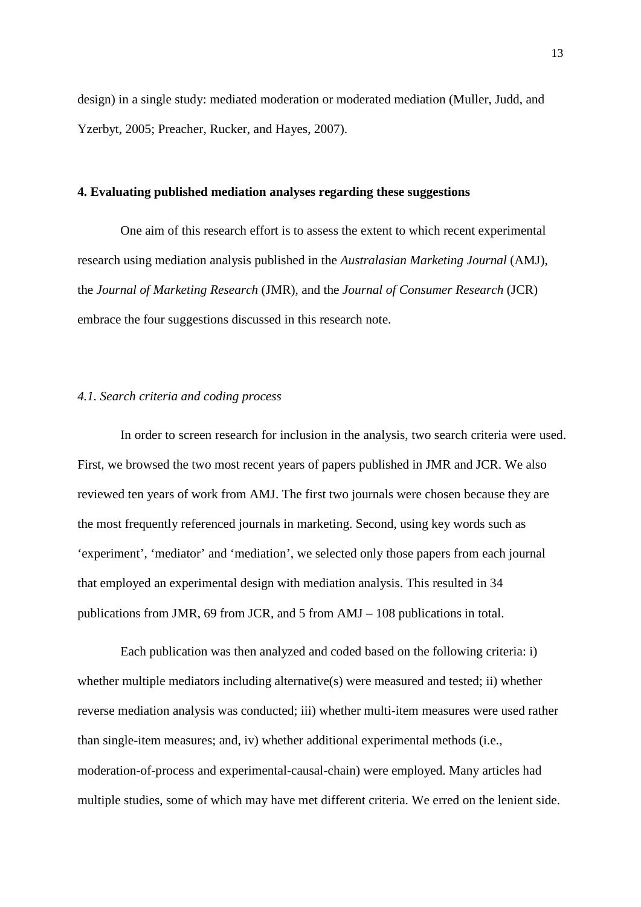design) in a single study: mediated moderation or moderated mediation (Muller, Judd, and Yzerbyt, 2005; Preacher, Rucker, and Hayes, 2007).

#### **4. Evaluating published mediation analyses regarding these suggestions**

One aim of this research effort is to assess the extent to which recent experimental research using mediation analysis published in the *Australasian Marketing Journal* (AMJ), the *Journal of Marketing Research* (JMR), and the *Journal of Consumer Research* (JCR) embrace the four suggestions discussed in this research note.

#### *4.1. Search criteria and coding process*

In order to screen research for inclusion in the analysis, two search criteria were used. First, we browsed the two most recent years of papers published in JMR and JCR. We also reviewed ten years of work from AMJ. The first two journals were chosen because they are the most frequently referenced journals in marketing. Second, using key words such as 'experiment', 'mediator' and 'mediation', we selected only those papers from each journal that employed an experimental design with mediation analysis. This resulted in 34 publications from JMR, 69 from JCR, and 5 from AMJ – 108 publications in total.

Each publication was then analyzed and coded based on the following criteria: i) whether multiple mediators including alternative(s) were measured and tested; ii) whether reverse mediation analysis was conducted; iii) whether multi-item measures were used rather than single-item measures; and, iv) whether additional experimental methods (i.e., moderation-of-process and experimental-causal-chain) were employed. Many articles had multiple studies, some of which may have met different criteria. We erred on the lenient side.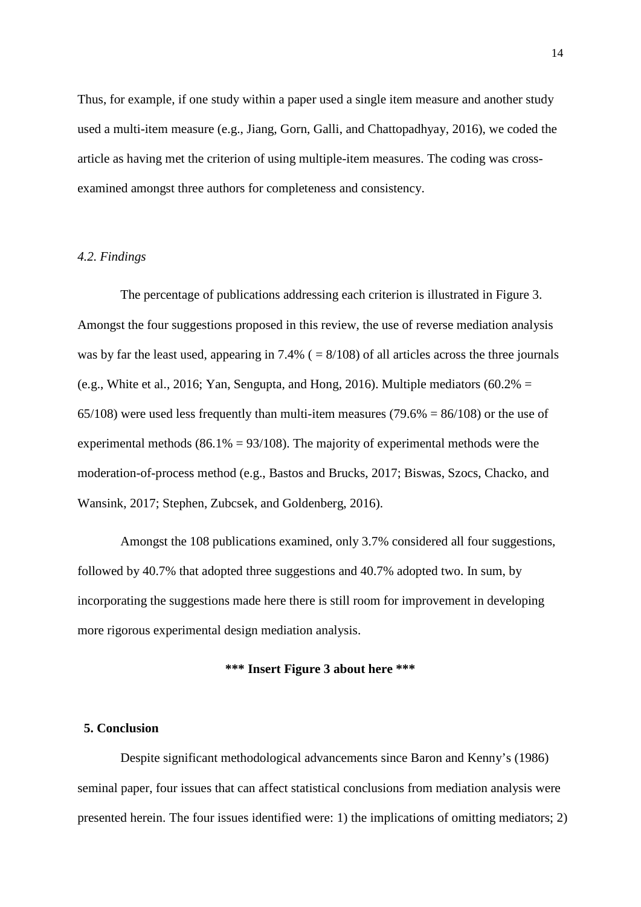Thus, for example, if one study within a paper used a single item measure and another study used a multi-item measure (e.g., Jiang, Gorn, Galli, and Chattopadhyay, 2016), we coded the article as having met the criterion of using multiple-item measures. The coding was crossexamined amongst three authors for completeness and consistency.

#### *4.2. Findings*

The percentage of publications addressing each criterion is illustrated in Figure 3. Amongst the four suggestions proposed in this review, the use of reverse mediation analysis was by far the least used, appearing in 7.4% ( $= 8/108$ ) of all articles across the three journals (e.g., White et al., 2016; Yan, Sengupta, and Hong, 2016). Multiple mediators  $(60.2\% =$ 65/108) were used less frequently than multi-item measures (79.6% =  $86/108$ ) or the use of experimental methods ( $86.1\% = 93/108$ ). The majority of experimental methods were the moderation-of-process method (e.g., Bastos and Brucks, 2017; Biswas, Szocs, Chacko, and Wansink, 2017; Stephen, Zubcsek, and Goldenberg, 2016).

Amongst the 108 publications examined, only 3.7% considered all four suggestions, followed by 40.7% that adopted three suggestions and 40.7% adopted two. In sum, by incorporating the suggestions made here there is still room for improvement in developing more rigorous experimental design mediation analysis.

## **\*\*\* Insert Figure 3 about here \*\*\***

## **5. Conclusion**

Despite significant methodological advancements since Baron and Kenny's (1986) seminal paper, four issues that can affect statistical conclusions from mediation analysis were presented herein. The four issues identified were: 1) the implications of omitting mediators; 2)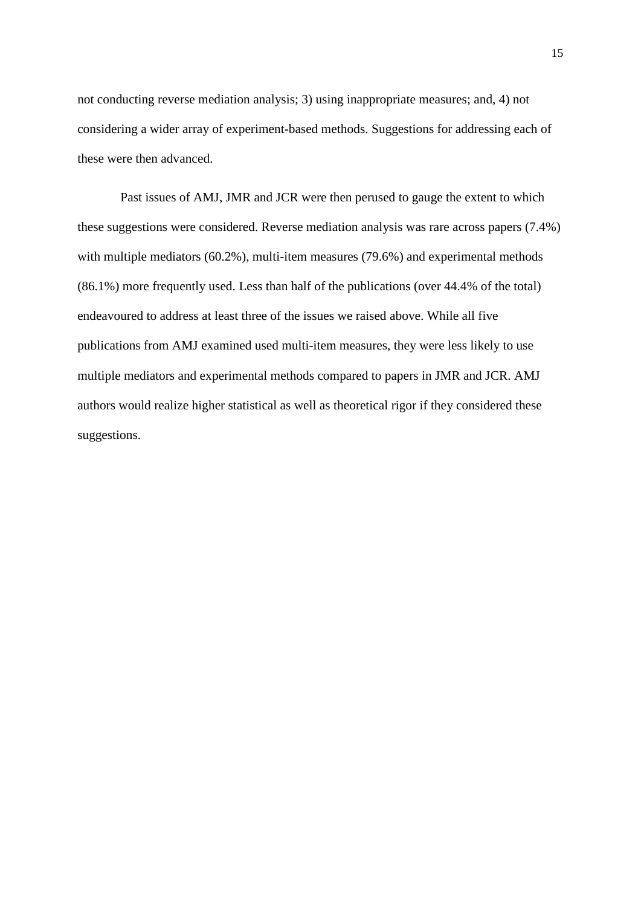not conducting reverse mediation analysis; 3) using inappropriate measures; and, 4) not considering a wider array of experiment-based methods. Suggestions for addressing each of these were then advanced.

Past issues of AMJ, JMR and JCR were then perused to gauge the extent to which these suggestions were considered. Reverse mediation analysis was rare across papers (7.4%) with multiple mediators (60.2%), multi-item measures (79.6%) and experimental methods (86.1%) more frequently used. Less than half of the publications (over 44.4% of the total) endeavoured to address at least three of the issues we raised above. While all five publications from AMJ examined used multi-item measures, they were less likely to use multiple mediators and experimental methods compared to papers in JMR and JCR. AMJ authors would realize higher statistical as well as theoretical rigor if they considered these suggestions.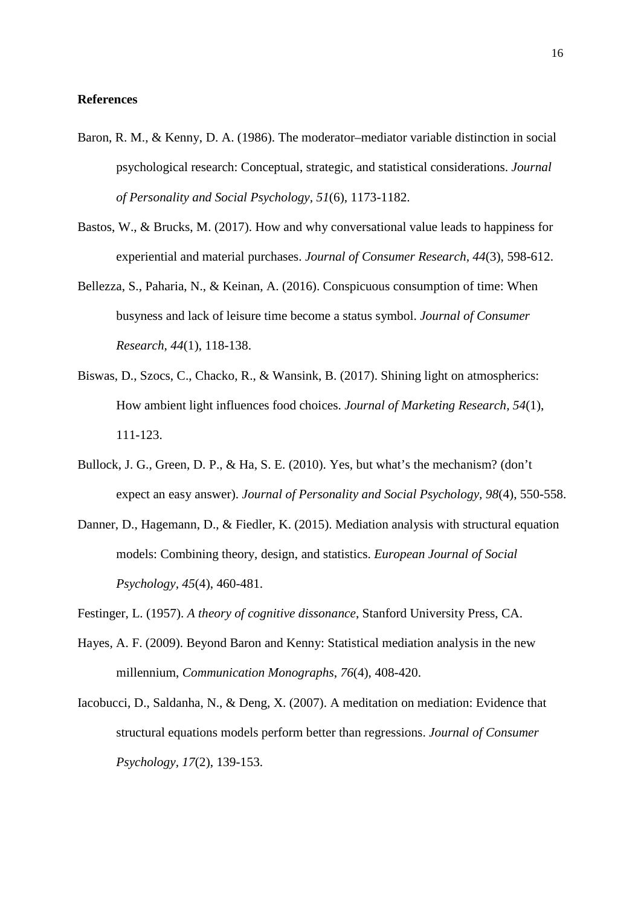## **References**

- Baron, R. M., & Kenny, D. A. (1986). The moderator–mediator variable distinction in social psychological research: Conceptual, strategic, and statistical considerations. *Journal of Personality and Social Psychology, 51*(6), 1173-1182.
- Bastos, W., & Brucks, M. (2017). How and why conversational value leads to happiness for experiential and material purchases. *Journal of Consumer Research, 44*(3), 598-612.
- Bellezza, S., Paharia, N., & Keinan, A. (2016). Conspicuous consumption of time: When busyness and lack of leisure time become a status symbol. *Journal of Consumer Research, 44*(1), 118-138.
- Biswas, D., Szocs, C., Chacko, R., & Wansink, B. (2017). Shining light on atmospherics: How ambient light influences food choices. *Journal of Marketing Research, 54*(1), 111-123.
- Bullock, J. G., Green, D. P., & Ha, S. E. (2010). Yes, but what's the mechanism? (don't expect an easy answer). *Journal of Personality and Social Psychology, 98*(4), 550-558.
- Danner, D., Hagemann, D., & Fiedler, K. (2015). Mediation analysis with structural equation models: Combining theory, design, and statistics. *European Journal of Social Psychology, 45*(4), 460-481.
- Festinger, L. (1957). *A theory of cognitive dissonance*, Stanford University Press, CA.
- Hayes, A. F. (2009). Beyond Baron and Kenny: Statistical mediation analysis in the new millennium, *Communication Monographs*, *76*(4), 408-420.
- Iacobucci, D., Saldanha, N., & Deng, X. (2007). A meditation on mediation: Evidence that structural equations models perform better than regressions. *Journal of Consumer Psychology, 17*(2), 139-153.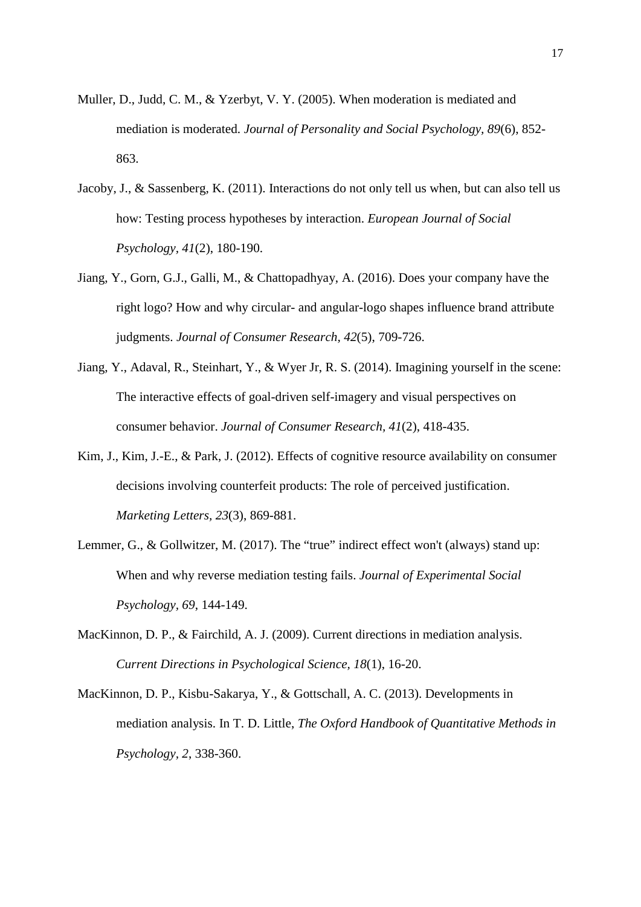- Muller, D., Judd, C. M., & Yzerbyt, V. Y. (2005). When moderation is mediated and mediation is moderated. *Journal of Personality and Social Psychology, 89*(6), 852- 863.
- Jacoby, J., & Sassenberg, K. (2011). Interactions do not only tell us when, but can also tell us how: Testing process hypotheses by interaction. *European Journal of Social Psychology, 41*(2), 180-190.
- Jiang, Y., Gorn, G.J., Galli, M., & Chattopadhyay, A. (2016). Does your company have the right logo? How and why circular- and angular-logo shapes influence brand attribute judgments. *Journal of Consumer Research, 42*(5), 709-726.
- Jiang, Y., Adaval, R., Steinhart, Y., & Wyer Jr, R. S. (2014). Imagining yourself in the scene: The interactive effects of goal-driven self-imagery and visual perspectives on consumer behavior. *Journal of Consumer Research, 41*(2), 418-435.
- Kim, J., Kim, J.-E., & Park, J. (2012). Effects of cognitive resource availability on consumer decisions involving counterfeit products: The role of perceived justification. *Marketing Letters, 23*(3), 869-881.
- Lemmer, G., & Gollwitzer, M. (2017). The "true" indirect effect won't (always) stand up: When and why reverse mediation testing fails. *Journal of Experimental Social Psychology, 69*, 144-149.
- MacKinnon, D. P., & Fairchild, A. J. (2009). Current directions in mediation analysis. *Current Directions in Psychological Science, 18*(1), 16-20.
- MacKinnon, D. P., Kisbu-Sakarya, Y., & Gottschall, A. C. (2013). Developments in mediation analysis. In T. D. Little, *The Oxford Handbook of Quantitative Methods in Psychology, 2*, 338-360.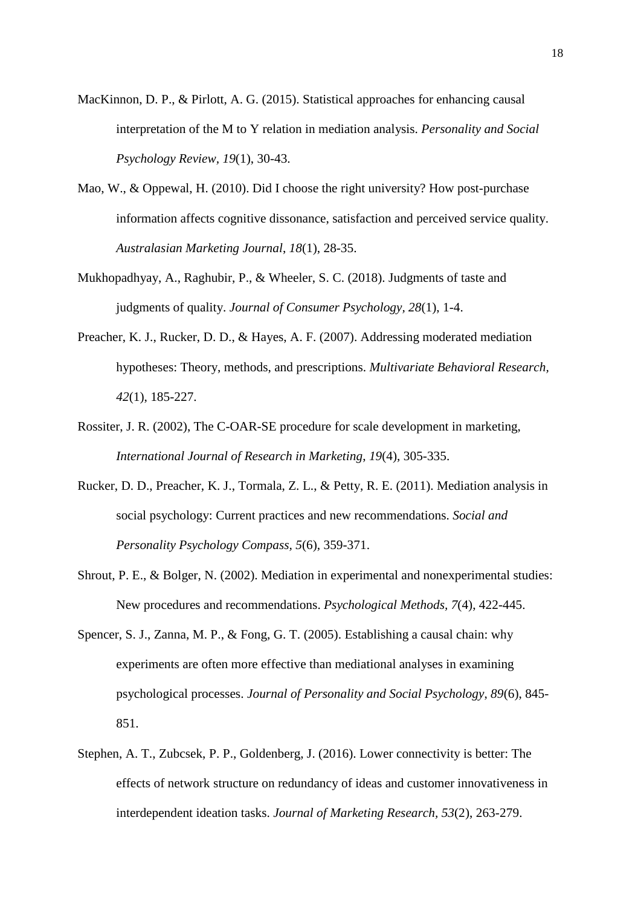- MacKinnon, D. P., & Pirlott, A. G. (2015). Statistical approaches for enhancing causal interpretation of the M to Y relation in mediation analysis. *Personality and Social Psychology Review, 19*(1), 30-43.
- Mao, W., & Oppewal, H. (2010). Did I choose the right university? How post-purchase information affects cognitive dissonance, satisfaction and perceived service quality. *Australasian Marketing Journal*, *18*(1), 28-35.
- Mukhopadhyay, A., Raghubir, P., & Wheeler, S. C. (2018). Judgments of taste and judgments of quality. *Journal of Consumer Psychology, 28*(1), 1-4.
- Preacher, K. J., Rucker, D. D., & Hayes, A. F. (2007). Addressing moderated mediation hypotheses: Theory, methods, and prescriptions. *Multivariate Behavioral Research, 42*(1), 185-227.
- Rossiter, J. R. (2002), The C-OAR-SE procedure for scale development in marketing, *International Journal of Research in Marketing*, *19*(4), 305-335.
- Rucker, D. D., Preacher, K. J., Tormala, Z. L., & Petty, R. E. (2011). Mediation analysis in social psychology: Current practices and new recommendations. *Social and Personality Psychology Compass, 5*(6), 359-371.
- Shrout, P. E., & Bolger, N. (2002). Mediation in experimental and nonexperimental studies: New procedures and recommendations. *Psychological Methods, 7*(4), 422-445.
- Spencer, S. J., Zanna, M. P., & Fong, G. T. (2005). Establishing a causal chain: why experiments are often more effective than mediational analyses in examining psychological processes. *Journal of Personality and Social Psychology*, *89*(6), 845- 851.
- Stephen, A. T., Zubcsek, P. P., Goldenberg, J. (2016). Lower connectivity is better: The effects of network structure on redundancy of ideas and customer innovativeness in interdependent ideation tasks. *Journal of Marketing Research, 53*(2), 263-279.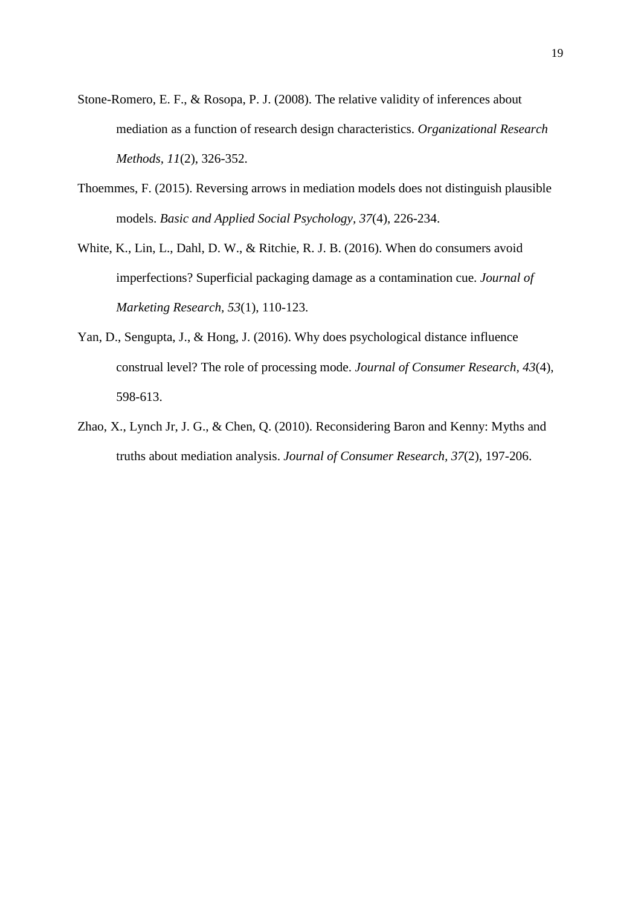- Stone-Romero, E. F., & Rosopa, P. J. (2008). The relative validity of inferences about mediation as a function of research design characteristics. *Organizational Research Methods, 11*(2), 326-352.
- Thoemmes, F. (2015). Reversing arrows in mediation models does not distinguish plausible models. *Basic and Applied Social Psychology, 37*(4), 226-234.
- White, K., Lin, L., Dahl, D. W., & Ritchie, R. J. B. (2016). When do consumers avoid imperfections? Superficial packaging damage as a contamination cue. *Journal of Marketing Research, 53*(1), 110-123.
- Yan, D., Sengupta, J., & Hong, J. (2016). Why does psychological distance influence construal level? The role of processing mode. *Journal of Consumer Research, 43*(4), 598-613.
- Zhao, X., Lynch Jr, J. G., & Chen, Q. (2010). Reconsidering Baron and Kenny: Myths and truths about mediation analysis. *Journal of Consumer Research, 37*(2), 197-206.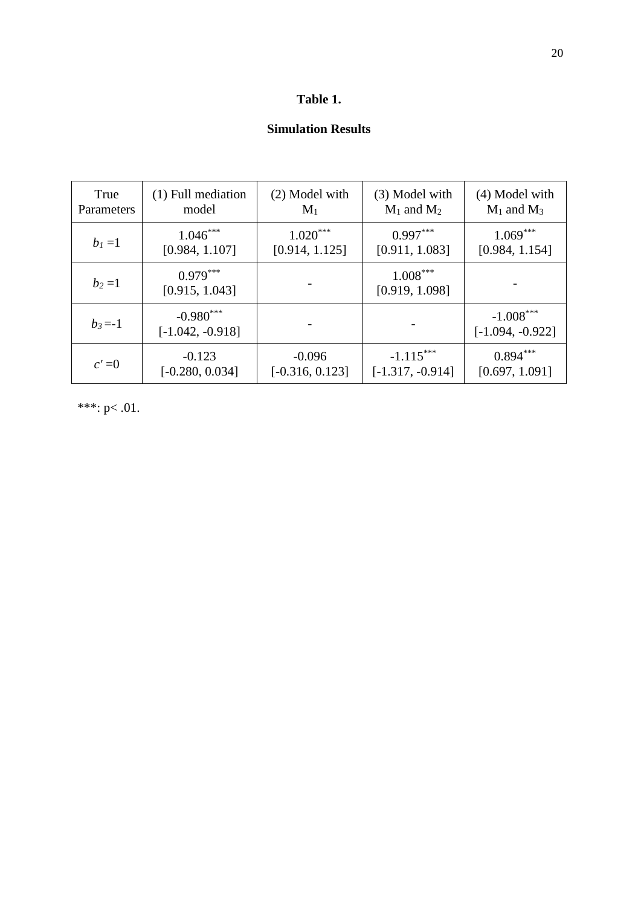## **Table 1.**

# **Simulation Results**

| True       | (1) Full mediation                | (2) Model with    | (3) Model with               | $(4)$ Model with                  |
|------------|-----------------------------------|-------------------|------------------------------|-----------------------------------|
| Parameters | model                             | $M_1$             | $M_1$ and $M_2$              | $M_1$ and $M_3$                   |
| $b_1 = 1$  | $1.046***$                        | $1.020***$        | $0.997***$                   | $1.069***$                        |
|            | [0.984, 1.107]                    | [0.914, 1.125]    | [0.911, 1.083]               | [0.984, 1.154]                    |
| $b_2 = 1$  | $0.979***$<br>[0.915, 1.043]      |                   | $1.008***$<br>[0.919, 1.098] |                                   |
| $b_3 = -1$ | $-0.980***$<br>$[-1.042, -0.918]$ |                   |                              | $-1.008***$<br>$[-1.094, -0.922]$ |
| $c' = 0$   | $-0.123$                          | $-0.096$          | $-1.115***$                  | $0.894***$                        |
|            | $[-0.280, 0.034]$                 | $[-0.316, 0.123]$ | $[-1.317, -0.914]$           | [0.697, 1.091]                    |

\*\*\*: p< .01.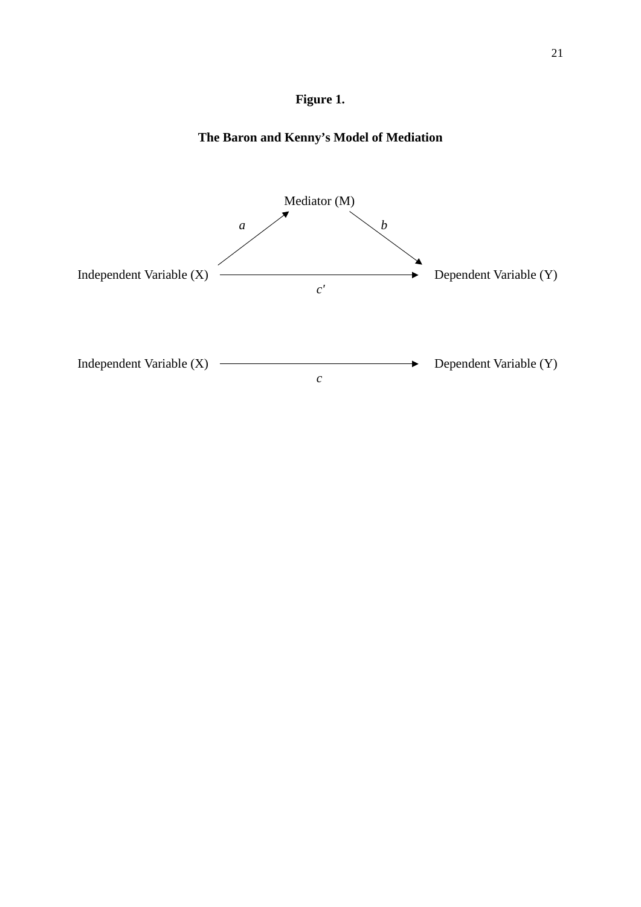

# **The Baron and Kenny's Model of Mediation**

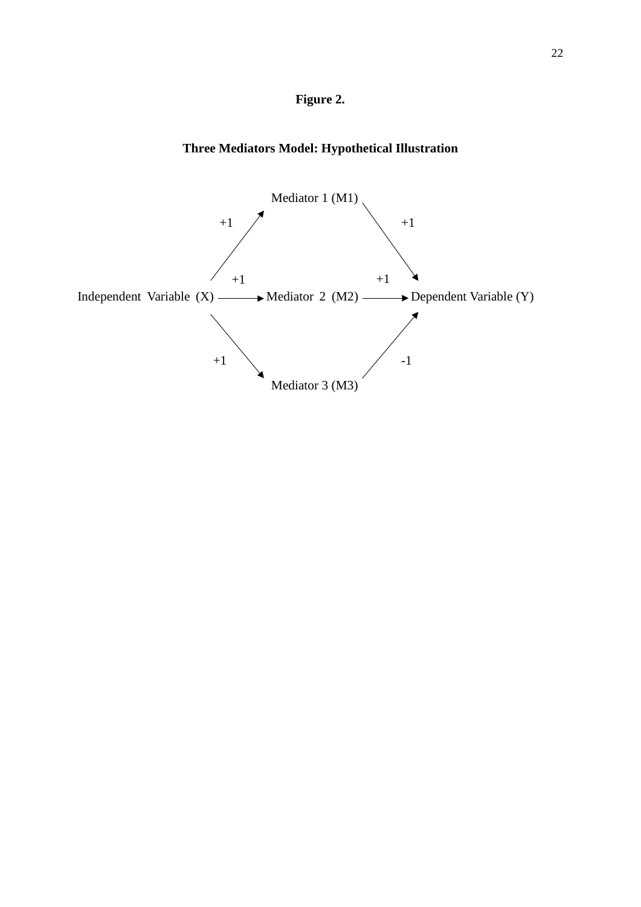

# **Three Mediators Model: Hypothetical Illustration**